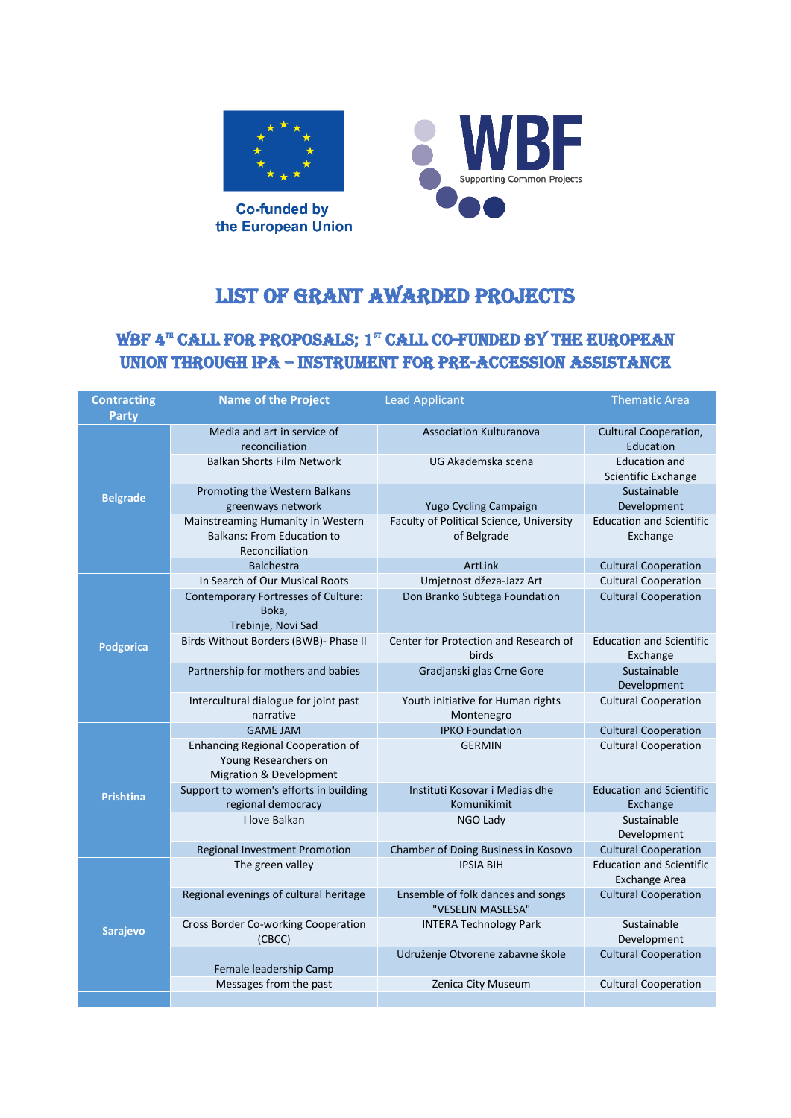

**Co-funded by** the European Union



## LIST OF GRANT AWARDED PROJECTS

## WBF 4™ CALL FOR PROPOSALS; 1™ CALL CO-FUNDED BY THE EUROPEAN Union through IPA – Instrument for pre-accession assistance

| <b>Contracting</b> | <b>Name of the Project</b>                                                                             | <b>Lead Applicant</b>                                   | <b>Thematic Area</b>                                    |
|--------------------|--------------------------------------------------------------------------------------------------------|---------------------------------------------------------|---------------------------------------------------------|
| <b>Party</b>       |                                                                                                        |                                                         |                                                         |
| <b>Belgrade</b>    | Media and art in service of<br>reconciliation                                                          | <b>Association Kulturanova</b>                          | Cultural Cooperation,<br>Education                      |
|                    | <b>Balkan Shorts Film Network</b>                                                                      | UG Akademska scena                                      | <b>Education and</b><br>Scientific Exchange             |
|                    | Promoting the Western Balkans<br>greenways network                                                     | Yugo Cycling Campaign                                   | Sustainable<br>Development                              |
|                    | Mainstreaming Humanity in Western<br><b>Balkans: From Education to</b><br>Reconciliation               | Faculty of Political Science, University<br>of Belgrade | <b>Education and Scientific</b><br>Exchange             |
|                    | <b>Balchestra</b>                                                                                      | ArtLink                                                 | <b>Cultural Cooperation</b>                             |
| <b>Podgorica</b>   | In Search of Our Musical Roots                                                                         | Umjetnost džeza-Jazz Art                                | <b>Cultural Cooperation</b>                             |
|                    | Contemporary Fortresses of Culture:<br>Boka,<br>Trebinje, Novi Sad                                     | Don Branko Subtega Foundation                           | <b>Cultural Cooperation</b>                             |
|                    | Birds Without Borders (BWB)- Phase II                                                                  | Center for Protection and Research of<br>birds          | <b>Education and Scientific</b><br>Exchange             |
|                    | Partnership for mothers and babies                                                                     | Gradjanski glas Crne Gore                               | Sustainable<br>Development                              |
|                    | Intercultural dialogue for joint past<br>narrative                                                     | Youth initiative for Human rights<br>Montenegro         | <b>Cultural Cooperation</b>                             |
| <b>Prishtina</b>   | <b>GAME JAM</b>                                                                                        | <b>IPKO Foundation</b>                                  | <b>Cultural Cooperation</b>                             |
|                    | <b>Enhancing Regional Cooperation of</b><br>Young Researchers on<br><b>Migration &amp; Development</b> | <b>GERMIN</b>                                           | <b>Cultural Cooperation</b>                             |
|                    | Support to women's efforts in building<br>regional democracy                                           | Instituti Kosovar i Medias dhe<br>Komunikimit           | <b>Education and Scientific</b><br>Exchange             |
|                    | I love Balkan                                                                                          | NGO Lady                                                | Sustainable<br>Development                              |
|                    | <b>Regional Investment Promotion</b>                                                                   | Chamber of Doing Business in Kosovo                     | <b>Cultural Cooperation</b>                             |
| Sarajevo           | The green valley                                                                                       | <b>IPSIA BIH</b>                                        | <b>Education and Scientific</b><br><b>Exchange Area</b> |
|                    | Regional evenings of cultural heritage                                                                 | Ensemble of folk dances and songs<br>"VESELIN MASLESA"  | <b>Cultural Cooperation</b>                             |
|                    | Cross Border Co-working Cooperation<br>(CBCC)                                                          | <b>INTERA Technology Park</b>                           | Sustainable<br>Development                              |
|                    | Female leadership Camp                                                                                 | Udruženje Otvorene zabavne škole                        | <b>Cultural Cooperation</b>                             |
|                    | Messages from the past                                                                                 | Zenica City Museum                                      | <b>Cultural Cooperation</b>                             |
|                    |                                                                                                        |                                                         |                                                         |